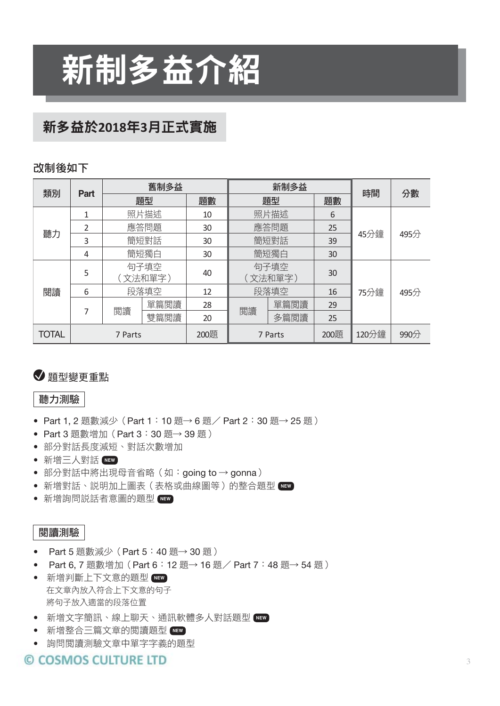# 新制多益介紹

## 新多益於**2018**年**3**月正式實施

#### 改制後如下

| 類別           | Part    |      | 舊制多益            |      |         | 新制多益            |      | 時間    | 分數   |
|--------------|---------|------|-----------------|------|---------|-----------------|------|-------|------|
|              |         | 題型   |                 | 題數   | 題型      |                 | 題數   |       |      |
|              |         | 照片描述 |                 | 10   |         | 照片描述            | 6    |       |      |
| 聽力           | 2       |      | 應答問題            | 30   |         | 應答問題            | 25   | 45分鐘  |      |
|              | 3       | 簡短對話 |                 | 30   |         | 簡短對話            | 39   |       | 495分 |
|              | 4       | 簡短獨白 |                 | 30   |         | 簡短獨白            | 30   |       |      |
|              | 5       |      | 句子填空<br>〔文法和單字) | 40   |         | 句子填空<br>(文法和單字) | 30   |       |      |
| 閲讀           | 6       |      | 段落填空            | 12   |         | 段落填空            | 16   | 75分鐘  | 495分 |
|              | 7       | 閲讀   | 單篇閲讀            | 28   | 閲讀      | 單篇閲讀            | 29   |       |      |
|              |         |      | 雙篇閲讀            | 20   |         | 多篇閲讀            | 25   |       |      |
| <b>TOTAL</b> | 7 Parts |      |                 | 200題 | 7 Parts |                 | 200題 | 120分鐘 | 990分 |

## 題型變更重點

#### 聽力測驗

- Part 1, 2 題數減少 (Part 1:10 題→ 6 題 / Part 2:30 題→ 25 題)
- Part 3 題數增加 (Part 3:30 題→ 39 題)
- 部分對話長度減短、對話次數增加
- t 新增三人對話 **NEW**
- 部分對話中將出現母音省略(如: going to → gonna)
- t 新增對話、說明加上圖表(表格或曲線圖等)的整合題型 **NEW**
- t 新增詢問說話者意圖的題型 **NEW**

#### 閱讀測驗

- Part 5 題數減少 (Part 5:40 題→ 30 題)
- Part 6, 7 題數增加 (Part 6:12 題→ 16 題 / Part 7:48 題→ 54 題)
- t 新增判斷上下文意的題型 **NEW** 在文章內放入符合上下文意的句子 將句子放入適當的段落位置
- t 新增文字簡訊、線上聊天、通訊軟體多人對話題型 **NEW**
- t 新增整合三篇文章的閱讀題型 **NEW**
- 詢問閱讀測驗文章中單字字義的題型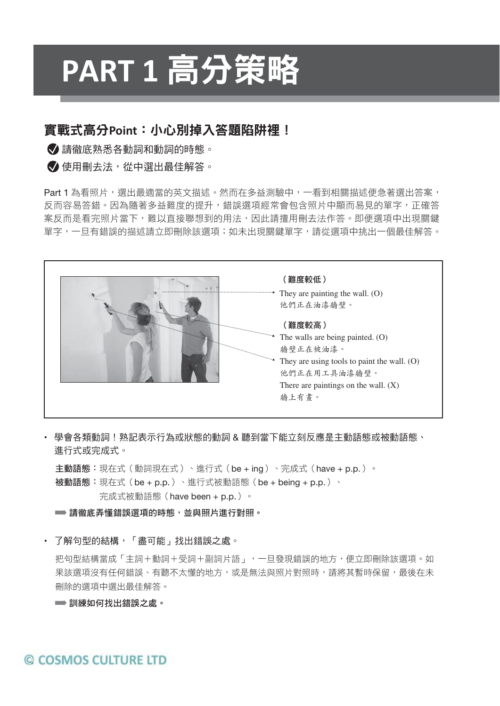# **PART 1** 高分策略

## 實戰式高分**Point**:小心別掉入答題陷阱裡!

◆ 請徹底熟悉各動詞和動詞的時態。

● 使用刪去法, 從中選出最佳解答。

Part 1 為看照片,選出最適當的英文描述。然而在多益測驗中,一看到相關描述便急著選出答案, 反而容易答錯。因為隨著多益難度的提升,錯誤選項經常會包含照片中顯而易見的單字,正確答 案反而是看完照片當下,難以直接聯想到的用法,因此請擅用刪去法作答。即便選項中出現關鍵 單字,一旦有錯誤的描述請立即刪除該選項;如未出現關鍵單字,請從選項中挑出一個最佳解答。



• 學會各類動詞!熟記表示行為或狀態的動詞 & 聽到當下能立刻反應是主動語態或被動語態、 進行式或完成式。

主動語態: 現在式(動詞現在式)、進行式(be + ing)、完成式(have + p.p.)。 被動語態:現在式(be + p.p.)、進行式被動語態(be + being + p.p.)、 完成式被動語態(have been + p.p.)。

■ 請徹底弄懂錯誤選項的時態,並與照片進行對照。

• 了解句型的結構,「盡可能」找出錯誤之處。

把句型結構當成「主詞+動詞+受詞+副詞片語」,一旦發現錯誤的地方,便立即刪除該選項。如 果該選項沒有任何錯誤、有聽不太懂的地方,或是無法與照片對照時,請將其暫時保留,最後在未 刪除的選項中選出最佳解答。

■ 訓練如何找出錯誤之處。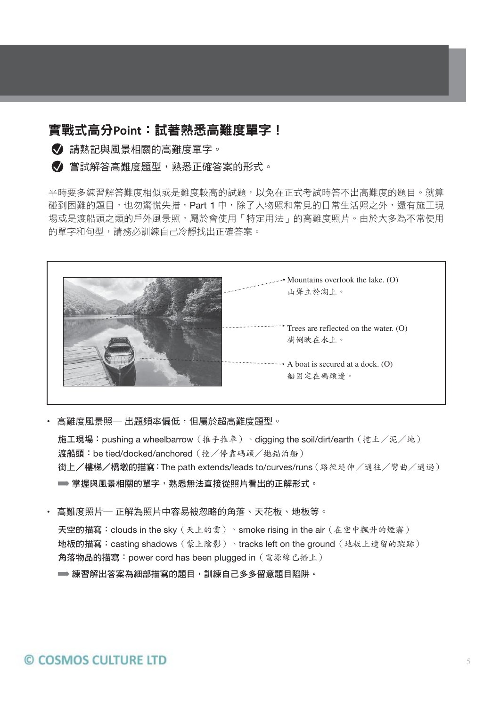## 實戰式高分**Point**:試著熟悉高難度單字!

◆ 請熟記與風景相關的高難度單字。

■ 営試解答高難度題型, 熟悉正確答案的形式。

平時要多練習解答難度相似或是難度較高的試題,以免在正式考試時答不出高難度的題目。就算 碰到困難的題目,也勿驚慌失措。Part 1 中,除了人物照和常見的日常生活照之外,還有施工現 場或是渡船頭之類的戶外風景照,屬於會使用「特定用法」的高難度照片。由於大多為不常使用 的單字和句型,請務必訓練自己冷靜找出正確答案。



• 高難度風景照— 出題頻率偏低,但屬於超高難度題型。

施工現場:pushing a wheelbarrow(推手推車)、digging the soil/dirt/earth(挖土/泥/地) 渡船頭: be tied/docked/anchored (拴/停靠碼頭/拋錨泊船) 街上/樓梯/橋墩的描寫:The path extends/leads to/curves/runs(路徑延伸/通往/彎曲/通過) ➡ 掌握與風景相關的單字,熟悉無法直接從照片看出的正解形式。

▪ 高難度照片─ 正解為照片中容易被忽略的角落、天花板、地板等。 天空的描寫:clouds in the sky(天上的雲)、smoke rising in the air(在空中飄升的煙霧) 地板的描寫:casting shadows(蒙上陰影)、tracks left on the ground(地板上遺留的蹤跡) 角落物品的描寫:power cord has been plugged in(電源線已插上) ➡ 練習解出答案為細部描寫的題目,訓練自己多多留意題目陷阱。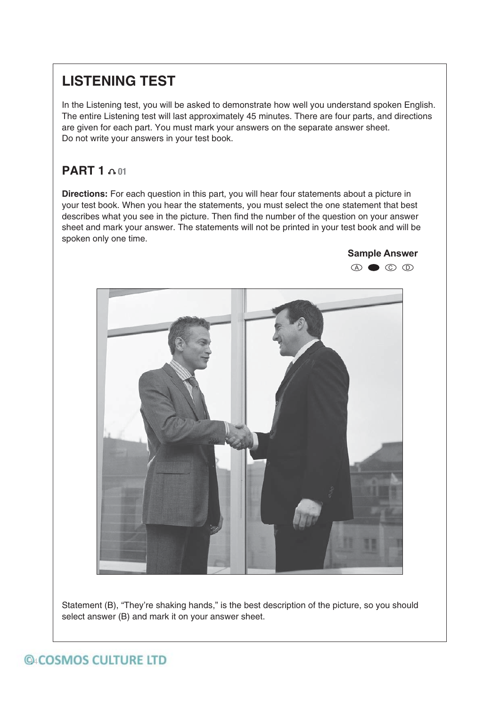## **LISTENING TEST**

In the Listening test, you will be asked to demonstrate how well you understand spoken English. The entire Listening test will last approximately 45 minutes. There are four parts, and directions are given for each part. You must mark your answers on the separate answer sheet. Do not write your answers in your test book.

## **PART 1 01**

**Directions:** For each question in this part, you will hear four statements about a picture in your test book. When you hear the statements, you must select the one statement that best describes what you see in the picture. Then find the number of the question on your answer sheet and mark your answer. The statements will not be printed in your test book and will be spoken only one time.



Statement (B), "They're shaking hands," is the best description of the picture, so you should select answer (B) and mark it on your answer sheet.

## **@ACOSMOS CULTURE LTD**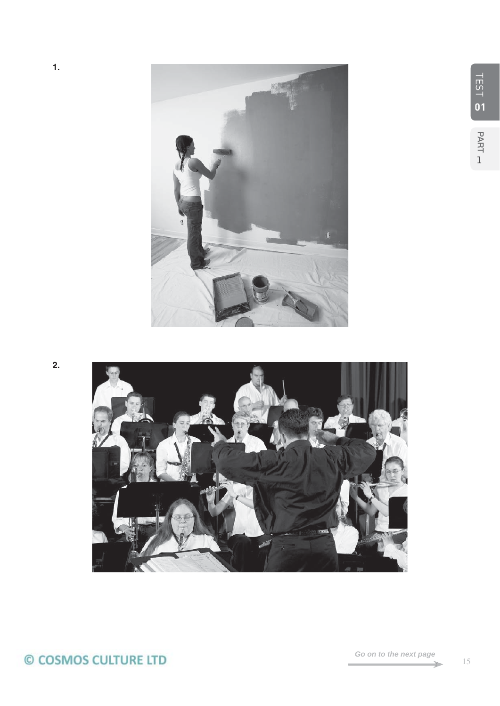

**2.**

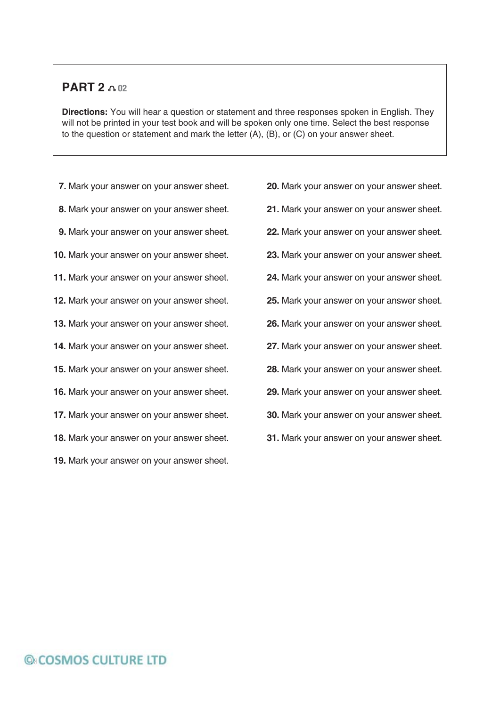### **PART 2**  $0.02$

**Directions:** You will hear a question or statement and three responses spoken in English. They will not be printed in your test book and will be spoken only one time. Select the best response to the question or statement and mark the letter (A), (B), or (C) on your answer sheet.

**7.** Mark your answer on your answer sheet.

- **8.** Mark your answer on your answer sheet.
- **9.** Mark your answer on your answer sheet.
- **10.** Mark your answer on your answer sheet.
- **11.** Mark your answer on your answer sheet.
- **12.** Mark your answer on your answer sheet.
- **13.** Mark your answer on your answer sheet.
- **14.** Mark your answer on your answer sheet.
- **15.** Mark your answer on your answer sheet.
- **16.** Mark your answer on your answer sheet.
- **17.** Mark your answer on your answer sheet.
- **18.** Mark your answer on your answer sheet.
- **19.** Mark your answer on your answer sheet.

**20.** Mark your answer on your answer sheet. **21.** Mark your answer on your answer sheet. **22.** Mark your answer on your answer sheet. **23.** Mark your answer on your answer sheet. **24.** Mark your answer on your answer sheet. **25.** Mark your answer on your answer sheet. **26.** Mark your answer on your answer sheet. **27.** Mark your answer on your answer sheet. **28.** Mark your answer on your answer sheet. **29.** Mark your answer on your answer sheet. **30.** Mark your answer on your answer sheet. **31.** Mark your answer on your answer sheet.

## **G&COSMOS CULTURE LTD**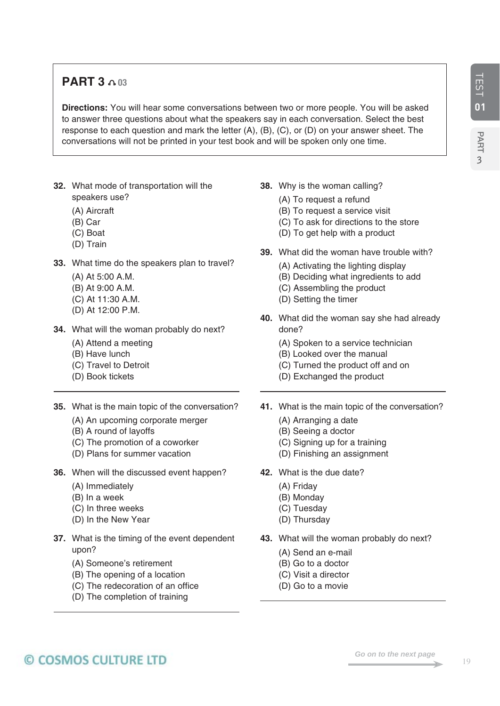## **PART 3 03**

**Directions:** You will hear some conversations between two or more people. You will be asked to answer three questions about what the speakers say in each conversation. Select the best response to each question and mark the letter (A), (B), (C), or (D) on your answer sheet. The conversations will not be printed in your test book and will be spoken only one time.

- **32.** What mode of transportation will the speakers use?
	- (A) Aircraft
	- (B) Car
	- (C) Boat
	- (D) Train
- **33.** What time do the speakers plan to travel?
	- (A) At 5:00 A.M.
	- (B) At 9:00 A.M.
	- (C) At 11:30 A.M.
	- (D) At 12:00 P.M.
- **34.** What will the woman probably do next?
	- (A) Attend a meeting
	- (B) Have lunch
	- (C) Travel to Detroit
	- (D) Book tickets
- **35.** What is the main topic of the conversation?
	- (A) An upcoming corporate merger
	- (B) A round of layoffs
	- (C) The promotion of a coworker
	- (D) Plans for summer vacation
- **36.** When will the discussed event happen?
	- (A) Immediately
	- (B) In a week
	- (C) In three weeks
	- (D) In the New Year
- **37.** What is the timing of the event dependent upon?
	- (A) Someone's retirement
	- (B) The opening of a location
	- (C) The redecoration of an office
	- (D) The completion of training
- **38.** Why is the woman calling?
	- (A) To request a refund
	- (B) To request a service visit
	- (C) To ask for directions to the store
	- (D) To get help with a product
- **39.** What did the woman have trouble with?
	- (A) Activating the lighting display
	- (B) Deciding what ingredients to add
	- (C) Assembling the product
	- (D) Setting the timer
- **40.** What did the woman say she had already done?
	- (A) Spoken to a service technician
	- (B) Looked over the manual
	- (C) Turned the product off and on
	- (D) Exchanged the product
- **41.** What is the main topic of the conversation?
	- (A) Arranging a date
	- (B) Seeing a doctor
	- (C) Signing up for a training
	- (D) Finishing an assignment
- **42.** What is the due date?
	- (A) Friday
	- (B) Monday
	- (C) Tuesday
	- (D) Thursday
- **43.** What will the woman probably do next?
	- (A) Send an e-mail
	- (B) Go to a doctor
	- (C) Visit a director
	- (D) Go to a movie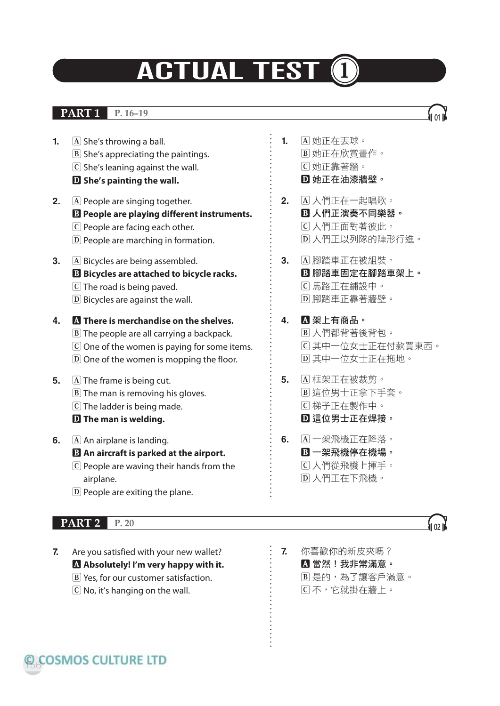## **ACTUAL TEST**

## **PART 1 P. 16–19 <sup>01</sup>**

- **1.** A She's throwing a ball. **B** She's appreciating the paintings. **C** She's leaning against the wall. **D She's painting the wall.**
- **2. A** People are singing together. **B People are playing different instruments. C** People are facing each other.
	- **D** People are marching in formation.
- **3. A** Bicycles are being assembled. **B Bicycles are attached to bicycle racks. C** The road is being paved. **D** Bicycles are against the wall.
- **4. A There is merchandise on the shelves. B** The people are all carrying a backpack. **C** One of the women is paying for some items. **D** One of the women is mopping the floor. **5. A** The frame is being cut.
	- **B** The man is removing his gloves. **C** The ladder is being made. **D The man is welding.**
- **6.** A An airplane is landing. **B An aircraft is parked at the airport. C** People are waving their hands from the airplane.
	- **D** People are exiting the plane.

## **PART 2** P. 20 **022 P. 20 022 022 022 022 022 022 022 022 022 022 022 022 022 022 022 022 022 022 022 022 022 022 022 022 022 022 022 022 022 022 022 022**

**7.** Are you satisfied with your new wallet? **A Absolutely! I'm very happy with it. B** Yes, for our customer satisfaction. **C** No, it's hanging on the wall.

- **1. A** 她正在丟球。 **B** 她正在欣賞畫作。 **C** 她正靠著牆。 **D** 她正在油漆牆壁。
- **2. A** 人們正在一起唱歌。 **B** 人們正演奏不同樂器。 **C** 人們正面對著彼此。 **D** 人們正以列隊的陣形行進。
- **3. A** 腳踏車正在被組裝。 **B** 腳踏車固定在腳踏車架上。 **C** 馬路正在鋪設中。 **D** 腳踏車正靠著牆壁。
- **4. A** 架上有商品。 **B** 人們都背著後背包。 **C** 其中一位女士正在付款買東西。 **D** 其中一位女士正在拖地。
- **5. A** 框架正在被裁剪。 **B** 這位男士正拿下手套。 **C** 梯子正在製作中。 **D** 這位男士正在焊接。
- **6. A** 一架飛機正在降落。 **B** 一架飛機停在機場。 **C** 人們從飛機上揮手。 **D** 人們正在下飛機。



**7.** 你喜歡你的新皮夾嗎? **A** 當然!我非常滿意。 **B** 是的,為了讓客戶滿意。 **C** 不,它就掛在牆上。

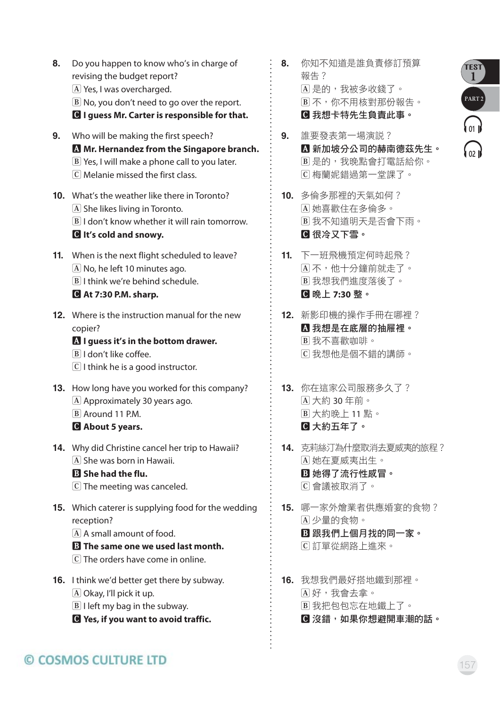- **8.** Do you happen to know who's in charge of revising the budget report? **A** Yes, I was overcharged. **B** No, you don't need to go over the report. **C I guess Mr. Carter is responsible for that.**
- **9.** Who will be making the first speech? **A Mr. Hernandez from the Singapore branch. B** Yes, I will make a phone call to you later. **C** Melanie missed the first class.
- **10.** What's the weather like there in Toronto? **A** She likes living in Toronto. **B** I don't know whether it will rain tomorrow. **C It's cold and snowy.**
- **11.** When is the next flight scheduled to leave? **A** No, he left 10 minutes ago. **B** I think we're behind schedule. **C At 7:30 P.M. sharp.**
- **12.** Where is the instruction manual for the new copier?

#### **A I guess it's in the bottom drawer.**

- **B** I don't like coffee.
- **C** I think he is a good instructor.
- **13.** How long have you worked for this company? **A** Approximately 30 years ago. **B** Around 11 P.M. **C About 5 years.**
- **14.** Why did Christine cancel her trip to Hawaii? **A** She was born in Hawaii.

## **B She had the flu.**

- **C** The meeting was canceled.
- **15.** Which caterer is supplying food for the wedding reception?
	- **A** A small amount of food.

#### **B The same one we used last month.**

- **C** The orders have come in online.
- **16.** I think we'd better get there by subway. **A** Okay, I'll pick it up. **B** I left my bag in the subway.
	-
	- **C Yes, if you want to avoid traffic.**
- **8.** 你知不知道是誰負責修訂預算 報告? **A** 是的,我被多收錢了。 **B** 不,你不用核對那份報告。 **C** 我想卡特先生負責此事。
- **9.** 誰要發表第一場演說? **A** 新加坡分公司的赫南德茲先生。 **B** 是的,我晚點會打電話給你。 **C** 梅蘭妮錯過第一堂課了。
- **10.** 多倫多那裡的天氣如何? **A** 她喜歡住在多倫多。 **B** 我不知道明天是否會下雨。 **C** 很冷又下雪。
- **11.** 下一班飛機預定何時起飛? **A** 不,他十分鐘前就走了。 **B** 我想我們進度落後了。 **C** 晚上 **7:30** 整。
- **12.** 新影印機的操作手冊在哪裡? **A** 我想是在底層的抽屜裡。 **B** 我不喜歡咖啡。 **C** 我想他是個不錯的講師。
- **13.** 你在這家公司服務多久了? **A** 大約 30 年前。 **B** 大約晚上 11 點。 **C** 大約五年了。
- **14.** 克莉絲汀為什麼取消去夏威夷的旅程? **A** 她在夏威夷出生。 **B** 她得了流行性感冒。 **C** 會議被取消了。
- **15.** 哪一家外燴業者供應婚宴的食物? **A** 少量的食物。 **B** 跟我們上個月找的同一家。 **C** 訂單從網路上進來。
- **16.** 我想我們最好搭地鐵到那裡。 **A** 好,我會去拿。 **B** 我把包包忘在地鐵上了。 **C** 沒錯,如果你想避開車潮的話。

## © COSMOS CULTURE LTD

TEST **1**

**PART 2** 

**01**

**02**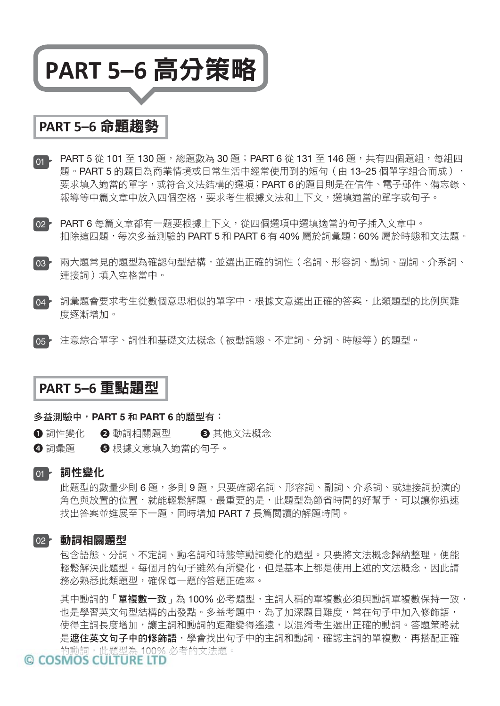## **PART 5–6** 高分策略

## **PART 5–6** 命題趨勢

- <sub>01</sub> PART 5 從 101 至 130 題,總題數為 30 題;PART 6 從 131 至 146 題,共有四個題組,每組四 題。PART 5 的題目為商業情境或日常生活中經常使用到的短句 ( 由 13–25 個單字組合而成 ), 要求填入適當的單字,或符合文法結構的選項;PART 6 的題目則是在信件、電子郵件、備忘錄、 報導等中篇文章中放入四個空格,要求考生根據文法和上下文,選填適當的單字或句子。
- PART 6 每篇文章都有一題要根據上下文,從四個選項中選填適當的句子插入文章中。 02 扣除這四題,每次多益測驗的 PART 5 和 PART 6 有 40% 屬於詞彙題;60% 屬於時態和文法題。
- 03 兩大題常見的題型為確認句型結構,並選出正確的詞性(名詞、形容詞、動詞、副詞、介系詞、 連接詞)填入空格當中。
- 04 詞彙題會要求考生從數個意思相似的單字中,根據文意選出正確的答案,此類題型的比例與難 度逐漸增加。
- 注意綜合單字、詞性和基礎文法概念(被動語態、不定詞、分詞、時態等)的題型。  $\overline{05}$   $\overline{2}$

## **PART 5–6** 重點題型

#### 多益測驗中,**PART 5** 和 **PART 6** 的題型有:

- ❶ 詞性變化 ② 動詞相關題型 ③ 其他文法概念
- 4 詞彙題 6 根據文意填入滴當的句子。

#### 詞性變化 01

此題型的數量少則 6 題,多則 9 題,只要確認名詞、形容詞、副詞、介系詞、或連接詞扮演的 角色與放置的位置,就能輕鬆解題。最重要的是,此題型為節省時間的好幫手,可以讓你迅速 找出答案並進展至下一題,同時增加 PART 7 長篇閱讀的解題時間。

#### 02<mark>~ 動詞相關題型</mark>

包含語態、分詞、不定詞、動名詞和時態等動詞變化的題型。只要將文法概念歸納整理,便能 輕鬆解決此題型。每個月的句子雖然有所變化,但是基本上都是使用上述的文法概念,因此請 務必熟悉此類題型,確保每一題的答題正確率。

其中動詞的「**單複數一致」**為 100% 必考題型, 主詞人稱的單複數必須與動詞單複數保持一致, 也是學習英文句型結構的出發點。多益考題中,為了加深題目難度,常在句子中加入修飾語, 使得主詞長度增加,讓主詞和動詞的距離變得遙遠,以混淆考生選出正確的動詞。答題策略就 是**遮住英文句子中的修飾語**,學會找出句子中的主詞和動詞,確認主詞的單複數,再搭配正確 的動詞,此題型為 100% 必考的文法題。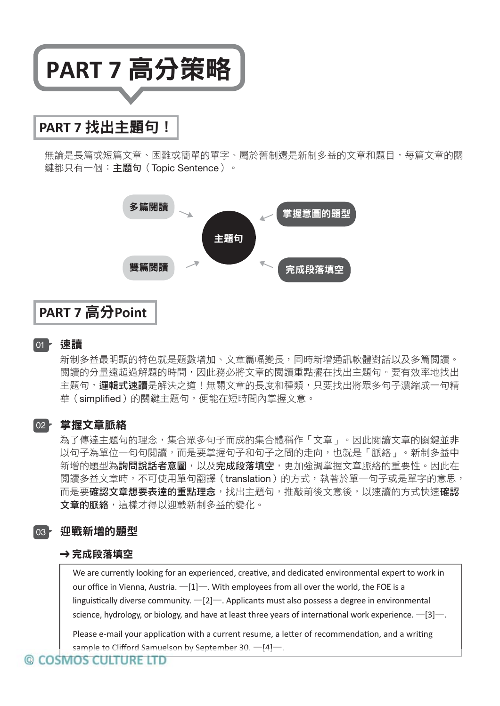

## **PART 7** 找出主題句!

無論是長篇或短篇文章、困難或簡單的單字、屬於舊制還是新制多益的文章和題目,每篇文章的關 鍵都只有一個:**主題句**(Topic Sentence)。



## **PART 7** 高分**Point**

#### 速讀 01

新制多益最明顯的特色就是題數增加、文章篇幅變長,同時新增通訊軟體對話以及多篇閱讀。 閱讀的分量遠超過解題的時間,因此務必將文章的閱讀重點擺在找出主題句。要有效率地找出 主題句,邏**輯式速讀**是解決之道!無關文章的長度和種類,只要找出將眾多句子濃縮成一句精 華(simplified)的關鍵主題句,便能在短時間內掌握文意。

#### 02<mark>~ 掌握文章脈絡</mark>

為了傳達主題句的理念,集合眾多句子而成的集合體稱作「文章」。因此閱讀文章的關鍵並非 以句子為單位一句句閱讀,而是要掌握句子和句子之間的走向,也就是「脈絡」。新制多益中 新增的題型為**詢問說話者意圖**,以及**完成段落填空**,更加強調掌握文章脈絡的重要性。因此在 閱讀多益文章時,不可使用單句翻譯(translation)的方式,執著於單一句子或是單字的意思, 而是要確認文章想要表達的重點理念,找出主題句,推敲前後文意後,以速讀的方式快速確認 文章的脈絡,這樣才得以迎戰新制多益的變化。

#### 迎戰新增的題型 03

#### **➔** 完成段落填空

We are currently looking for an experienced, creative, and dedicated environmental expert to work in our office in Vienna, Austria.  $-[1]$ —. With employees from all over the world, the FOE is a linguistically diverse community.  $-[2]$ —. Applicants must also possess a degree in environmental science, hydrology, or biology, and have at least three years of international work experience.  $-[3]$ —.

Please e-mail your application with a current resume, a letter of recommendation, and a writing sample to Clifford Samuelson by September 30.  $-$ [4] $-$ .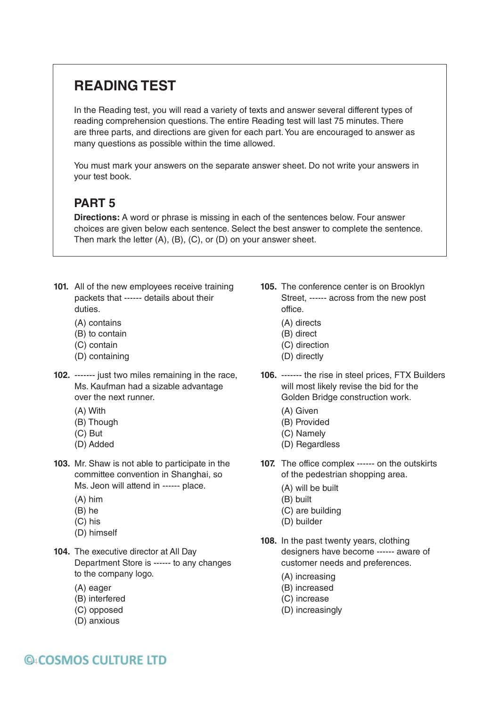## **READING TEST**

In the Reading test, you will read a variety of texts and answer several different types of reading comprehension questions. The entire Reading test will last 75 minutes. There are three parts, and directions are given for each part. You are encouraged to answer as many questions as possible within the time allowed.

You must mark your answers on the separate answer sheet. Do not write your answers in your test book.

## **PART 5**

**Directions:** A word or phrase is missing in each of the sentences below. Four answer choices are given below each sentence. Select the best answer to complete the sentence. Then mark the letter (A), (B), (C), or (D) on your answer sheet.

- **101.** All of the new employees receive training packets that ------ details about their duties.
	- (A) contains
	- (B) to contain
	- (C) contain
	- (D) containing
- **102.** ------- just two miles remaining in the race, Ms. Kaufman had a sizable advantage over the next runner.
	- (A) With
	- (B) Though
	- (C) But
	- (D) Added
- **103.** Mr. Shaw is not able to participate in the committee convention in Shanghai, so Ms. Jeon will attend in ------ place.
	- (A) him
	- (B) he
	- (C) his
	- (D) himself
- **104.** The executive director at All Day Department Store is ------ to any changes to the company logo.
	- (A) eager
	- (B) interfered
	- (C) opposed
	- (D) anxious
- **105.** The conference center is on Brooklyn Street, ------ across from the new post office.
	- (A) directs
	- (B) direct
	- (C) direction
	- (D) directly
- **106.** ------- the rise in steel prices, FTX Builders will most likely revise the bid for the Golden Bridge construction work.
	- (A) Given
	- (B) Provided
	- (C) Namely
	- (D) Regardless
- **107.** The office complex ------ on the outskirts of the pedestrian shopping area.
	- (A) will be built
	- (B) built
	- (C) are building
	- (D) builder
- **108.** In the past twenty years, clothing designers have become ------ aware of customer needs and preferences.
	- (A) increasing
	- (B) increased
	- (C) increase
	- (D) increasingly

## **QACOSMOS CULTURE LTD**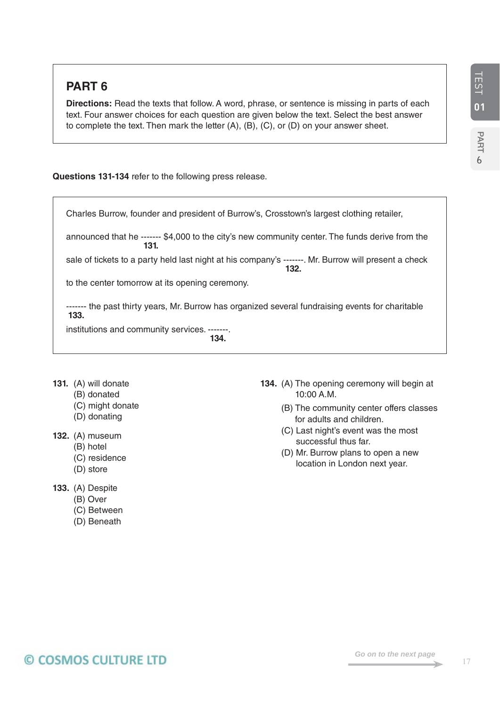**6**

## **PART 6**

**Directions:** Read the texts that follow. A word, phrase, or sentence is missing in parts of each text. Four answer choices for each question are given below the text. Select the best answer to complete the text. Then mark the letter (A), (B), (C), or (D) on your answer sheet.

**Questions 131-134** refer to the following press release.

Charles Burrow, founder and president of Burrow's, Crosstown's largest clothing retailer, announced that he ------- \$4,000 to the city's new community center. The funds derive from the **131.**  sale of tickets to a party held last night at his company's ------- . Mr. Burrow will present a check **132.**  to the center tomorrow at its opening ceremony. ------- the past thirty years, Mr. Burrow has organized several fundraising events for charitable **133.**  institutions and community services. ------- . **134.** 

- **131.** (A) will donate
	- (B) donated
		- (C) might donate
	- (D) donating
- **132.** (A) museum
	- (B) hotel
	- (C) residence
	- (D) store
- **133.** (A) Despite
	- (B) Over
	- (C) Between
	- (D) Beneath
- **134.** (A) The opening ceremony will begin at 10:00 A.M.
	- (B) The community center offers classes for adults and children.
	- (C) Last night's event was the most successful thus far.
	- (D) Mr. Burrow plans to open a new location in London next year.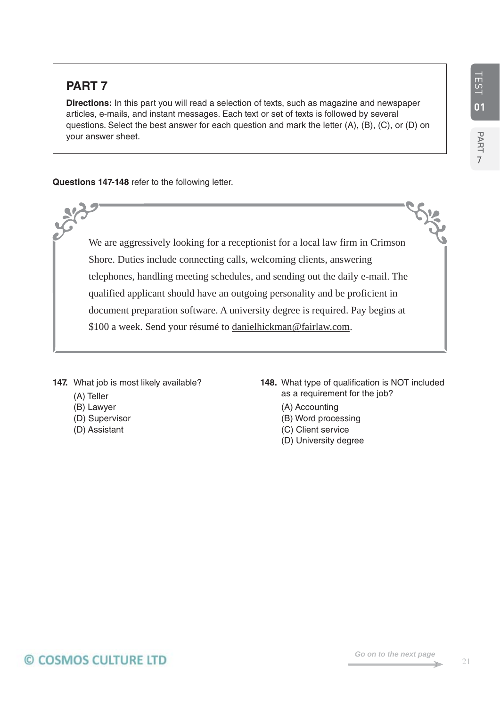**7**

## **PART 7**

**Directions:** In this part you will read a selection of texts, such as magazine and newspaper articles, e-mails, and instant messages. Each text or set of texts is followed by several questions. Select the best answer for each question and mark the letter (A), (B), (C), or (D) on your answer sheet.

**Questions 147-148** refer to the following letter.

We are aggressively looking for a receptionist for a local law firm in Crimson Shore. Duties include connecting calls, welcoming clients, answering telephones, handling meeting schedules, and sending out the daily e-mail. The qualified applicant should have an outgoing personality and be proficient in document preparation software. A university degree is required. Pay begins at \$100 a week. Send your résumé to danielhickman@fairlaw.com.

147. What job is most likely available?

- (A) Teller
- (B) Lawyer
- (D) Supervisor
- (D) Assistant
- **148.** What type of qualification is NOT included as a requirement for the job?
	- (A) Accounting
	- (B) Word processing
	- (C) Client service
	- (D) University degree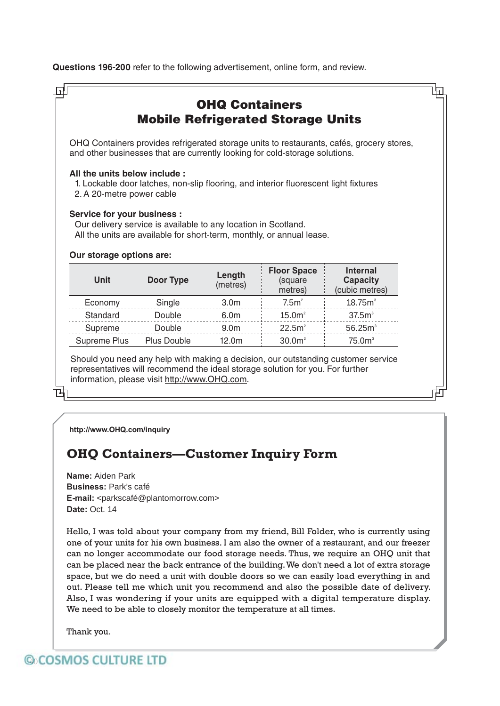**Questions 196-200** refer to the following advertisement, online form, and review.

|                                                           |                                                                |                    | and other businesses that are currently looking for cold-storage solutions.          | OHQ Containers provides refrigerated storage units to restaurants, cafés, grocery stores, |
|-----------------------------------------------------------|----------------------------------------------------------------|--------------------|--------------------------------------------------------------------------------------|-------------------------------------------------------------------------------------------|
| All the units below include:<br>2. A 20-metre power cable |                                                                |                    | 1. Lockable door latches, non-slip flooring, and interior fluorescent light fixtures |                                                                                           |
|                                                           |                                                                |                    |                                                                                      |                                                                                           |
| <b>Service for your business:</b>                         | Our delivery service is available to any location in Scotland. |                    | All the units are available for short-term, monthly, or annual lease.                |                                                                                           |
| Our storage options are:<br><b>Unit</b>                   | Door Type                                                      | Length<br>(metres) | <b>Floor Space</b><br>(square<br>metres)                                             | <b>Internal</b><br><b>Capacity</b>                                                        |
| Economy                                                   | Single                                                         | 3.0 <sub>m</sub>   | 7.5m <sup>2</sup>                                                                    | (cubic metres)<br>18.75m <sup>3</sup>                                                     |
| Standard                                                  | Double                                                         | 6.0m               | 15.0m <sup>2</sup>                                                                   | 37.5m <sup>3</sup>                                                                        |
| Supreme                                                   | Double                                                         | 9.0 <sub>m</sub>   | 22.5m <sup>2</sup>                                                                   | 56.25m <sup>3</sup>                                                                       |

**http://www.OHQ.com/inquiry**

## **OHQ Containers—Customer Inquiry Form**

**Name:** Aiden Park **Business:** Park's café **E-mail:** <parkscafé@plantomorrow.com> **Date:** Oct. 14

Hello, I was told about your company from my friend, Bill Folder, who is currently using one of your units for his own business. I am also the owner of a restaurant, and our freezer can no longer accommodate our food storage needs. Thus, we require an OHQ unit that can be placed near the back entrance of the building. We don't need a lot of extra storage space, but we do need a unit with double doors so we can easily load everything in and out. Please tell me which unit you recommend and also the possible date of delivery. Also, I was wondering if your units are equipped with a digital temperature display. We need to be able to closely monitor the temperature at all times.

Thank you.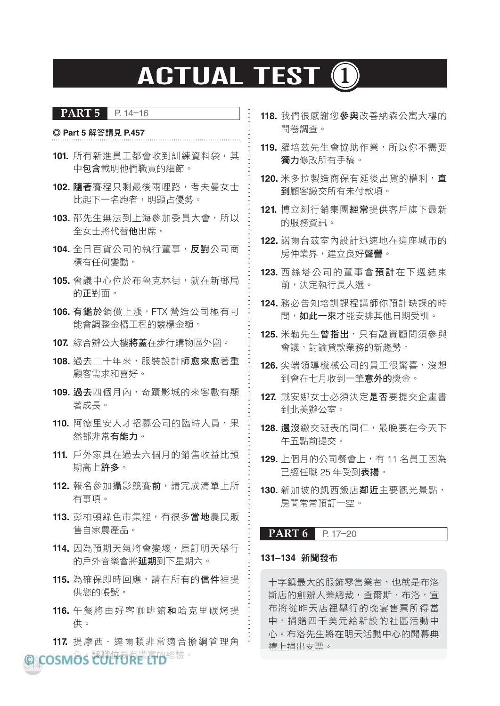## **ACTUAL TEST (1)**

#### **PART 5 P. 14–16**

#### ◎ **Part 5** 解答請見 **P.457**

- **101.** 所有新進員工都會收到訓練資料袋,其 中包含載明他們職責的細節。
- **102.** 隨著賽程只剩最後兩哩路,考夫曼女士 比起下一名跑者,明顯占優勢。
- **103.** 邵先生無法到上海參加委員大會,所以 全女士將代替他出席。
- **104.** 全日百貨公司的執行董事,反對公司商 標有任何變動。
- **105.** 會議中心位於布魯克林街,就在新郵局 的正對面。
- **106.** 有鑑於鋼價上漲,FTX 營造公司極有可 能會調整金橋工程的競標金額。
- **107.** 綜合辦公大樓將蓋在步行購物區外圍。
- 108. 過去二十年來, 服裝設計師**愈來愈**著重 顧客需求和喜好。
- **109.** 過去四個月內,奇蹟影城的來客數有顯 著成長。
- 110. 阿德里安人才招募公司的臨時人員,果 然都非常有能力。
- **111.** 戶外家具在過去六個月的銷售收益比預 期高上許多。
- **112.** 報名參加攝影競賽前,請完成清單上所 有事項。
- **113.** 彭柏頓綠色市集裡,有很多當地農民販 售自家農產品。
- **114.** 因為預期天氣將會變壞,原訂明天舉行 的戶外音樂會將延期到下星期六。
- 115. 為確保即時回應,請在所有的**信件**裡提 供您的帳號。
- **116.** 午餐將由好客咖啡館和哈克里碳烤提 供。
- **117.** 提摩西.達爾頓非常適合擔綱管理角 禮上捐出支票。<br>。
- **118.** 我們很感謝您參與改善納森公寓大樓的 問卷調查。
- **119.** 羅培茲先生會協助作業,所以你不需要 獨力修改所有手稿。
- **120.** 米多拉製造商保有延後出貨的權利,直 到顧客繳交所有未付款項。
- **121.** 博立刻行銷集團經常提供客戶旗下最新 的服務資訊。
- **122.** 諾爾台茲室內設計迅速地在這座城市的 房仲業界,建立良好聲譽。
- **123.** 西絲塔公司的董事會預計在下週結束 前,決定執行長人選。
- **124.** 務必告知培訓課程講師你預計缺課的時 間,如此一來才能安排其他日期受訓。
- **125.** 米勒先生曾指出,只有融資顧問須參與 會議,討論貸款業務的新趨勢。
- **126.** 尖端領導機械公司的員工很驚喜,沒想 到會在十月收到一筆**意外的**獎金。
- **127.** 戴安娜女士必須決定是否要提交企畫書 到北美辦公室。
- **128.** 還沒繳交班表的同仁,最晚要在今天下 午五點前提交。
- **129.** 上個月的公司餐會上,有 11 名員工因為 已經任職 25 年受到表揚。
- **130.** 新加坡的凱西飯店鄰近主要觀光景點, 房間常常預訂一空。

#### **PART 6 P. 17–20**

#### **131–134** 新聞發布

十字鎮最大的服飾零售業者,也就是布洛 斯店的創辦人兼總裁,查爾斯.布洛,宣 布將從昨天店裡舉行的晚宴售票所得當 中,捐贈四千美元給新設的社區活動中 心。布洛先生將在明天活動中心的開幕典

314 名 、 該職位要有豐富的經驗。